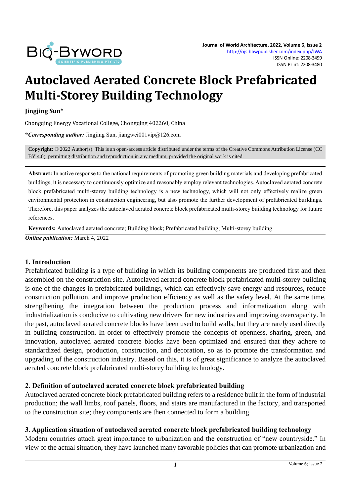

# **Autoclaved Aerated Concrete Block Prefabricated Multi-Storey Building Technology**

#### **Jingjing Sun\***

Chongqing Energy Vocational College, Chongqing 402260, China

**\****Corresponding author:* Jingjing Sun, jiangwei001vip@126.com

**Copyright:** © 2022 Author(s). This is an open-access article distributed under the terms of th[e Creative Commons Attribution License \(CC](https://creativecommons.org/licenses/by/4.0/)  [BY 4.0\),](https://creativecommons.org/licenses/by/4.0/) permitting distribution and reproduction in any medium, provided the original work is cited.

**Abstract:** In active response to the national requirements of promoting green building materials and developing prefabricated buildings, it is necessary to continuously optimize and reasonably employ relevant technologies. Autoclaved aerated concrete block prefabricated multi-storey building technology is a new technology, which will not only effectively realize green environmental protection in construction engineering, but also promote the further development of prefabricated buildings. Therefore, this paper analyzes the autoclaved aerated concrete block prefabricated multi-storey building technology for future references.

**Keywords:** Autoclaved aerated concrete; Building block; Prefabricated building; Multi-storey building *Online publication:* March 4, 2022

#### **1. Introduction**

Prefabricated building is a type of building in which its building components are produced first and then assembled on the construction site. Autoclaved aerated concrete block prefabricated multi-storey building is one of the changes in prefabricated buildings, which can effectively save energy and resources, reduce construction pollution, and improve production efficiency as well as the safety level. At the same time, strengthening the integration between the production process and informatization along with industrialization is conducive to cultivating new drivers for new industries and improving overcapacity. In the past, autoclaved aerated concrete blocks have been used to build walls, but they are rarely used directly in building construction. In order to effectively promote the concepts of openness, sharing, green, and innovation, autoclaved aerated concrete blocks have been optimized and ensured that they adhere to standardized design, production, construction, and decoration, so as to promote the transformation and upgrading of the construction industry. Based on this, it is of great significance to analyze the autoclaved aerated concrete block prefabricated multi-storey building technology.

### **2. Definition of autoclaved aerated concrete block prefabricated building**

Autoclaved aerated concrete block prefabricated building refers to a residence built in the form of industrial production; the wall limbs, roof panels, floors, and stairs are manufactured in the factory, and transported to the construction site; they components are then connected to form a building.

#### **3. Application situation of autoclaved aerated concrete block prefabricated building technology**

Modern countries attach great importance to urbanization and the construction of "new countryside." In view of the actual situation, they have launched many favorable policies that can promote urbanization and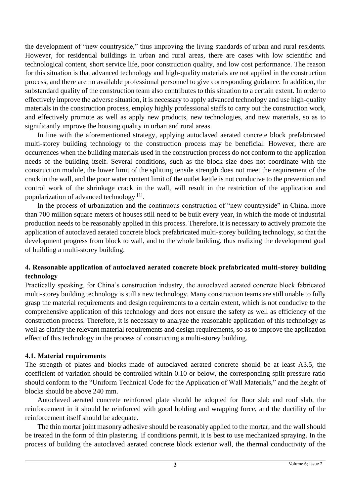the development of "new countryside," thus improving the living standards of urban and rural residents. However, for residential buildings in urban and rural areas, there are cases with low scientific and technological content, short service life, poor construction quality, and low cost performance. The reason for this situation is that advanced technology and high-quality materials are not applied in the construction process, and there are no available professional personnel to give corresponding guidance. In addition, the substandard quality of the construction team also contributes to this situation to a certain extent. In order to effectively improve the adverse situation, it is necessary to apply advanced technology and use high-quality materials in the construction process, employ highly professional staffs to carry out the construction work, and effectively promote as well as apply new products, new technologies, and new materials, so as to significantly improve the housing quality in urban and rural areas.

In line with the aforementioned strategy, applying autoclaved aerated concrete block prefabricated multi-storey building technology to the construction process may be beneficial. However, there are occurrences when the building materials used in the construction process do not conform to the application needs of the building itself. Several conditions, such as the block size does not coordinate with the construction module, the lower limit of the splitting tensile strength does not meet the requirement of the crack in the wall, and the poor water content limit of the outlet kettle is not conducive to the prevention and control work of the shrinkage crack in the wall, will result in the restriction of the application and popularization of advanced technology<sup>[1]</sup>.

In the process of urbanization and the continuous construction of "new countryside" in China, more than 700 million square meters of houses still need to be built every year, in which the mode of industrial production needs to be reasonably applied in this process. Therefore, it is necessary to actively promote the application of autoclaved aerated concrete block prefabricated multi-storey building technology, so that the development progress from block to wall, and to the whole building, thus realizing the development goal of building a multi-storey building.

# **4. Reasonable application of autoclaved aerated concrete block prefabricated multi-storey building technology**

Practically speaking, for China's construction industry, the autoclaved aerated concrete block fabricated multi-storey building technology is still a new technology. Many construction teams are still unable to fully grasp the material requirements and design requirements to a certain extent, which is not conducive to the comprehensive application of this technology and does not ensure the safety as well as efficiency of the construction process. Therefore, it is necessary to analyze the reasonable application of this technology as well as clarify the relevant material requirements and design requirements, so as to improve the application effect of this technology in the process of constructing a multi-storey building.

### **4.1. Material requirements**

The strength of plates and blocks made of autoclaved aerated concrete should be at least A3.5, the coefficient of variation should be controlled within 0.10 or below, the corresponding split pressure ratio should conform to the "Uniform Technical Code for the Application of Wall Materials," and the height of blocks should be above 240 mm.

Autoclaved aerated concrete reinforced plate should be adopted for floor slab and roof slab, the reinforcement in it should be reinforced with good holding and wrapping force, and the ductility of the reinforcement itself should be adequate.

The thin mortar joint masonry adhesive should be reasonably applied to the mortar, and the wall should be treated in the form of thin plastering. If conditions permit, it is best to use mechanized spraying. In the process of building the autoclaved aerated concrete block exterior wall, the thermal conductivity of the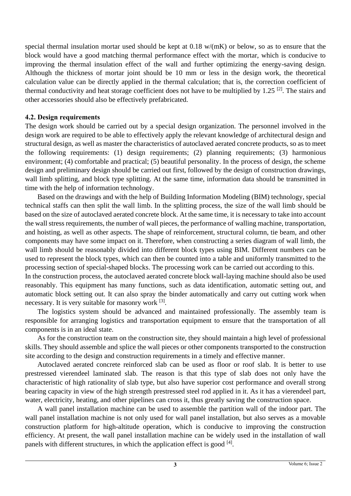special thermal insulation mortar used should be kept at 0.18 w/(mK) or below, so as to ensure that the block would have a good matching thermal performance effect with the mortar, which is conducive to improving the thermal insulation effect of the wall and further optimizing the energy-saving design. Although the thickness of mortar joint should be 10 mm or less in the design work, the theoretical calculation value can be directly applied in the thermal calculation; that is, the correction coefficient of thermal conductivity and heat storage coefficient does not have to be multiplied by 1.25<sup>[2]</sup>. The stairs and other accessories should also be effectively prefabricated.

### **4.2. Design requirements**

The design work should be carried out by a special design organization. The personnel involved in the design work are required to be able to effectively apply the relevant knowledge of architectural design and structural design, as well as master the characteristics of autoclaved aerated concrete products, so as to meet the following requirements: (1) design requirements; (2) planning requirements; (3) harmonious environment; (4) comfortable and practical; (5) beautiful personality. In the process of design, the scheme design and preliminary design should be carried out first, followed by the design of construction drawings, wall limb splitting, and block type splitting. At the same time, information data should be transmitted in time with the help of information technology.

Based on the drawings and with the help of Building Information Modeling (BIM) technology, special technical staffs can then split the wall limb. In the splitting process, the size of the wall limb should be based on the size of autoclaved aerated concrete block. At the same time, it is necessary to take into account the wall stress requirements, the number of wall pieces, the performance of walling machine, transportation, and hoisting, as well as other aspects. The shape of reinforcement, structural column, tie beam, and other components may have some impact on it. Therefore, when constructing a series diagram of wall limb, the wall limb should be reasonably divided into different block types using BIM. Different numbers can be used to represent the block types, which can then be counted into a table and uniformly transmitted to the processing section of special-shaped blocks. The processing work can be carried out according to this.

In the construction process, the autoclaved aerated concrete block wall-laying machine should also be used reasonably. This equipment has many functions, such as data identification, automatic setting out, and automatic block setting out. It can also spray the binder automatically and carry out cutting work when necessary. It is very suitable for masonry work <sup>[3]</sup>.

The logistics system should be advanced and maintained professionally. The assembly team is responsible for arranging logistics and transportation equipment to ensure that the transportation of all components is in an ideal state.

As for the construction team on the construction site, they should maintain a high level of professional skills. They should assemble and splice the wall pieces or other components transported to the construction site according to the design and construction requirements in a timely and effective manner.

Autoclaved aerated concrete reinforced slab can be used as floor or roof slab. It is better to use prestressed vierendeel laminated slab. The reason is that this type of slab does not only have the characteristic of high rationality of slab type, but also have superior cost performance and overall strong bearing capacity in view of the high strength prestressed steel rod applied in it. As it has a vierendeel part, water, electricity, heating, and other pipelines can cross it, thus greatly saving the construction space.

A wall panel installation machine can be used to assemble the partition wall of the indoor part. The wall panel installation machine is not only used for wall panel installation, but also serves as a movable construction platform for high-altitude operation, which is conducive to improving the construction efficiency. At present, the wall panel installation machine can be widely used in the installation of wall panels with different structures, in which the application effect is good  $[4]$ .